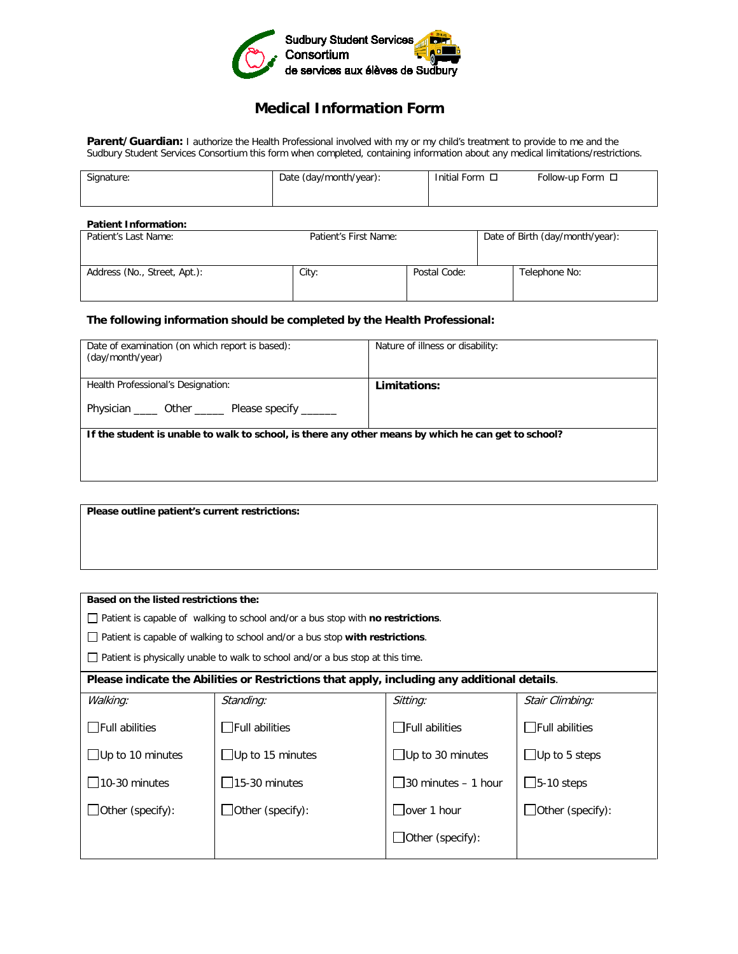

## **Medical Information Form**

Parent/Guardian: I authorize the Health Professional involved with my or my child's treatment to provide to me and the Sudbury Student Services Consortium this form when completed, containing information about any medical limitations/restrictions.

| Signature:           | Date (day/month/year): | Initial Form □ | Follow-up Form $\Box$ |
|----------------------|------------------------|----------------|-----------------------|
| Patient Information: |                        |                |                       |

| Patient's Last Name:         | Patient's First Name: |              | Date of Birth (day/month/year): |               |
|------------------------------|-----------------------|--------------|---------------------------------|---------------|
| Address (No., Street, Apt.): | City:                 | Postal Code: |                                 | Telephone No: |

## **The following information should be completed by the Health Professional:**

| Date of examination (on which report is based):<br>(day/month/year)                                 | Nature of illness or disability: |  |  |  |
|-----------------------------------------------------------------------------------------------------|----------------------------------|--|--|--|
| Health Professional's Designation:                                                                  | Limitations:                     |  |  |  |
| Physician ______ Other _______ Please specify _______                                               |                                  |  |  |  |
| If the student is unable to walk to school, is there any other means by which he can get to school? |                                  |  |  |  |
|                                                                                                     |                                  |  |  |  |
|                                                                                                     |                                  |  |  |  |

**Please outline patient's current restrictions:**

| Based on the listed restrictions the:                                                       |                                                                                                |                         |                         |  |
|---------------------------------------------------------------------------------------------|------------------------------------------------------------------------------------------------|-------------------------|-------------------------|--|
|                                                                                             | $\Box$ Patient is capable of walking to school and/or a bus stop with <b>no restrictions</b> . |                         |                         |  |
|                                                                                             | Patient is capable of walking to school and/or a bus stop with restrictions.                   |                         |                         |  |
| Patient is physically unable to walk to school and/or a bus stop at this time.              |                                                                                                |                         |                         |  |
| Please indicate the Abilities or Restrictions that apply, including any additional details. |                                                                                                |                         |                         |  |
| Walking:                                                                                    | Standing:                                                                                      | Sitting:                | Stair Climbing:         |  |
| $\Box$ Full abilities                                                                       | $\Box$ Full abilities                                                                          | $\Box$ Full abilities   | $\Box$ Full abilities   |  |
| $\Box$ Up to 10 minutes                                                                     | $\Box$ Up to 15 minutes                                                                        | $\Box$ Up to 30 minutes | $\Box$ Up to 5 steps    |  |
| $10-30$ minutes                                                                             | $\Box$ 15-30 minutes                                                                           | 30 minutes – 1 hour     | $\Box$ 5-10 steps       |  |
| $J$ Other (specify):                                                                        | $\Box$ Other (specify):                                                                        | over 1 hour             | $\Box$ Other (specify): |  |
|                                                                                             |                                                                                                | $\Box$ Other (specify): |                         |  |
|                                                                                             |                                                                                                |                         |                         |  |